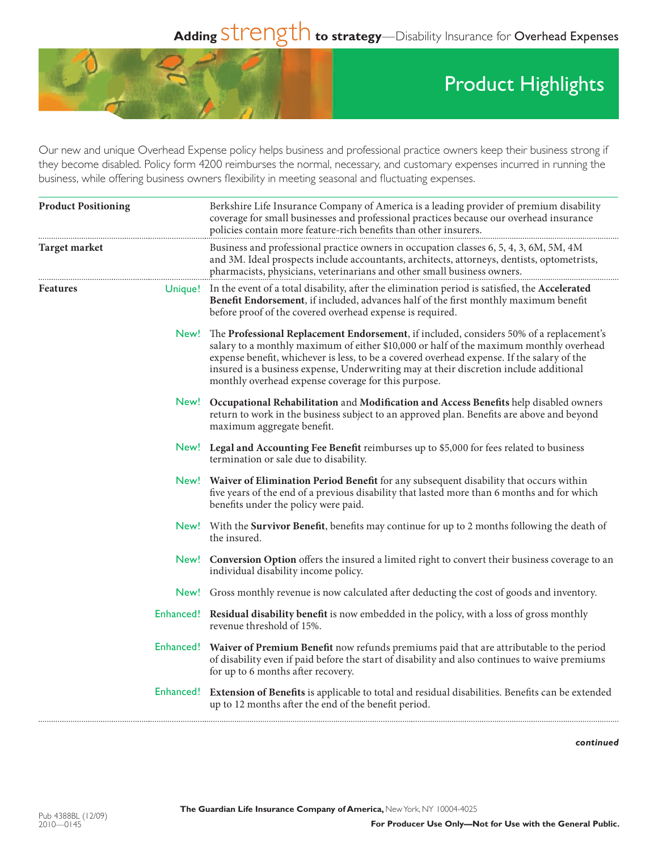## Adding Strength to strategy—Disability Insurance for Overhead Expenses



## Product Highlights

Our new and unique Overhead Expense policy helps business and professional practice owners keep their business strong if they become disabled. Policy form 4200 reimburses the normal, necessary, and customary expenses incurred in running the business, while offering business owners flexibility in meeting seasonal and fluctuating expenses.

| <b>Product Positioning</b> | Berkshire Life Insurance Company of America is a leading provider of premium disability<br>coverage for small businesses and professional practices because our overhead insurance<br>policies contain more feature-rich benefits than other insurers.                                                                                                                                                                                |  |
|----------------------------|---------------------------------------------------------------------------------------------------------------------------------------------------------------------------------------------------------------------------------------------------------------------------------------------------------------------------------------------------------------------------------------------------------------------------------------|--|
| <b>Target market</b>       | Business and professional practice owners in occupation classes 6, 5, 4, 3, 6M, 5M, 4M<br>and 3M. Ideal prospects include accountants, architects, attorneys, dentists, optometrists,<br>pharmacists, physicians, veterinarians and other small business owners.                                                                                                                                                                      |  |
| <b>Features</b>            | Unique! In the event of a total disability, after the elimination period is satisfied, the Accelerated<br>Benefit Endorsement, if included, advances half of the first monthly maximum benefit<br>before proof of the covered overhead expense is required.                                                                                                                                                                           |  |
|                            | New! The Professional Replacement Endorsement, if included, considers 50% of a replacement's<br>salary to a monthly maximum of either \$10,000 or half of the maximum monthly overhead<br>expense benefit, whichever is less, to be a covered overhead expense. If the salary of the<br>insured is a business expense, Underwriting may at their discretion include additional<br>monthly overhead expense coverage for this purpose. |  |
|                            | New! Occupational Rehabilitation and Modification and Access Benefits help disabled owners<br>return to work in the business subject to an approved plan. Benefits are above and beyond<br>maximum aggregate benefit.                                                                                                                                                                                                                 |  |
|                            | New! Legal and Accounting Fee Benefit reimburses up to \$5,000 for fees related to business<br>termination or sale due to disability.                                                                                                                                                                                                                                                                                                 |  |
|                            | New! Waiver of Elimination Period Benefit for any subsequent disability that occurs within<br>five years of the end of a previous disability that lasted more than 6 months and for which<br>benefits under the policy were paid.                                                                                                                                                                                                     |  |
|                            | New! With the Survivor Benefit, benefits may continue for up to 2 months following the death of<br>the insured.                                                                                                                                                                                                                                                                                                                       |  |
|                            | New! Conversion Option offers the insured a limited right to convert their business coverage to an<br>individual disability income policy.                                                                                                                                                                                                                                                                                            |  |
|                            | New! Gross monthly revenue is now calculated after deducting the cost of goods and inventory.                                                                                                                                                                                                                                                                                                                                         |  |
|                            | Enhanced! Residual disability benefit is now embedded in the policy, with a loss of gross monthly<br>revenue threshold of 15%.                                                                                                                                                                                                                                                                                                        |  |
|                            | Enhanced! Waiver of Premium Benefit now refunds premiums paid that are attributable to the period<br>of disability even if paid before the start of disability and also continues to waive premiums<br>for up to 6 months after recovery.                                                                                                                                                                                             |  |
|                            | Enhanced! Extension of Benefits is applicable to total and residual disabilities. Benefits can be extended<br>up to 12 months after the end of the benefit period.                                                                                                                                                                                                                                                                    |  |

*continued*